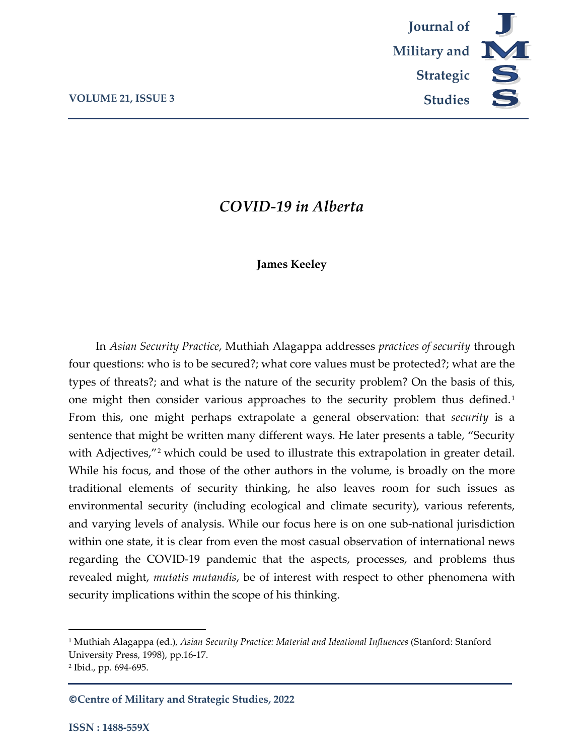

# *COVID-19 in Alberta*

## **James Keeley**

In *Asian Security Practice*, Muthiah Alagappa addresses *practices of security* through four questions: who is to be secured?; what core values must be protected?; what are the types of threats?; and what is the nature of the security problem? On the basis of this, one might then consider various approaches to the security problem thus defined.<sup>[1](#page-0-0)</sup> From this, one might perhaps extrapolate a general observation: that *security* is a sentence that might be written many different ways. He later presents a table, "Security with Adjectives,"<sup>[2](#page-0-1)</sup> which could be used to illustrate this extrapolation in greater detail. While his focus, and those of the other authors in the volume, is broadly on the more traditional elements of security thinking, he also leaves room for such issues as environmental security (including ecological and climate security), various referents, and varying levels of analysis. While our focus here is on one sub-national jurisdiction within one state, it is clear from even the most casual observation of international news regarding the COVID-19 pandemic that the aspects, processes, and problems thus revealed might, *mutatis mutandis*, be of interest with respect to other phenomena with security implications within the scope of his thinking.

 $\overline{a}$ 

**©Centre of Military and Strategic Studies, 2022**

<span id="page-0-0"></span><sup>1</sup> Muthiah Alagappa (ed.), *Asian Security Practice: Material and Ideational Influences* (Stanford: Stanford University Press, 1998), pp.16-17.

<span id="page-0-1"></span><sup>2</sup> Ibid., pp. 694-695.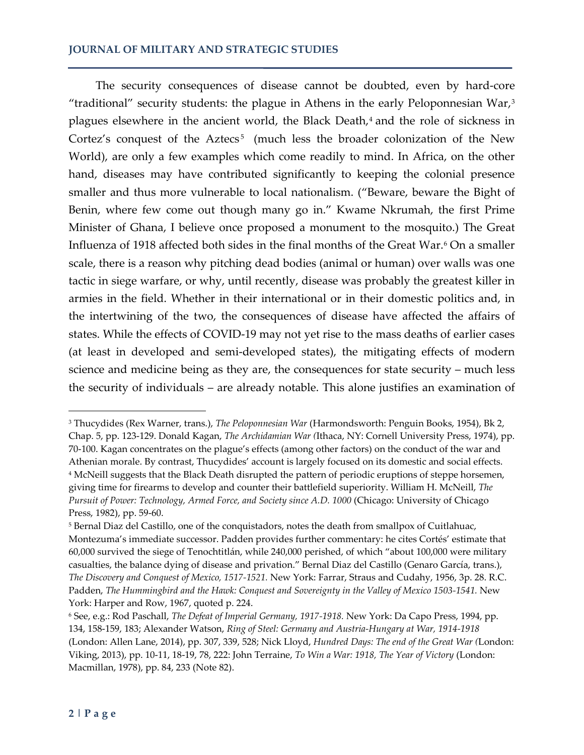### **JOURNAL OF MILITARY AND STRATEGIC STUDIES**

The security consequences of disease cannot be doubted, even by hard-core "traditional" security students: the plague in Athens in the early Peloponnesian War, $3$ plagues elsewhere in the ancient world, the Black Death,<sup>[4](#page-1-1)</sup> and the role of sickness in Cortez's conquest of the Aztecs<sup>[5](#page-1-2)</sup> (much less the broader colonization of the New World), are only a few examples which come readily to mind. In Africa, on the other hand, diseases may have contributed significantly to keeping the colonial presence smaller and thus more vulnerable to local nationalism. ("Beware, beware the Bight of Benin, where few come out though many go in." Kwame Nkrumah, the first Prime Minister of Ghana, I believe once proposed a monument to the mosquito.) The Great Influenza of 1918 affected both sides in the final months of the Great War.<sup>6</sup> On a smaller scale, there is a reason why pitching dead bodies (animal or human) over walls was one tactic in siege warfare, or why, until recently, disease was probably the greatest killer in armies in the field. Whether in their international or in their domestic politics and, in the intertwining of the two, the consequences of disease have affected the affairs of states. While the effects of COVID-19 may not yet rise to the mass deaths of earlier cases (at least in developed and semi-developed states), the mitigating effects of modern science and medicine being as they are, the consequences for state security – much less the security of individuals – are already notable. This alone justifies an examination of

l

<span id="page-1-1"></span><span id="page-1-0"></span><sup>3</sup> Thucydides (Rex Warner, trans.), *The Peloponnesian War* (Harmondsworth: Penguin Books, 1954), Bk 2, Chap. 5, pp. 123-129. Donald Kagan, *The Archidamian War (*Ithaca, NY: Cornell University Press, 1974), pp. 70-100. Kagan concentrates on the plague's effects (among other factors) on the conduct of the war and Athenian morale. By contrast, Thucydides' account is largely focused on its domestic and social effects. <sup>4</sup> McNeill suggests that the Black Death disrupted the pattern of periodic eruptions of steppe horsemen, giving time for firearms to develop and counter their battlefield superiority. William H. McNeill, *The Pursuit of Power: Technology, Armed Force, and Society since A.D. 1000 (Chicago: University of Chicago* Press, 1982), pp. 59-60.

<span id="page-1-2"></span><sup>5</sup> Bernal Diaz del Castillo, one of the conquistadors, notes the death from smallpox of Cuitlahuac, Montezuma's immediate successor. Padden provides further commentary: he cites Cortés' estimate that 60,000 survived the siege of Tenochtitlán, while 240,000 perished, of which "about 100,000 were military casualties, the balance dying of disease and privation." Bernal Diaz del Castillo (Genaro García, trans.), *The Discovery and Conquest of Mexico, 1517-1521.* New York: Farrar, Straus and Cudahy, 1956, 3p. 28. R.C. Padden, *The Hummingbird and the Hawk: Conquest and Sovereignty in the Valley of Mexico 1503-1541*. New York: Harper and Row, 1967, quoted p. 224.

<span id="page-1-3"></span><sup>6</sup> See, e.g.: Rod Paschall, *The Defeat of Imperial Germany, 1917-1918.* New York: Da Capo Press, 1994, pp. 134, 158-159, 183; Alexander Watson, *Ring of Steel: Germany and Austria-Hungary at War, 1914-1918* (London: Allen Lane, 2014), pp. 307, 339, 528; Nick Lloyd, *Hundred Days: The end of the Great War (*London: Viking, 2013), pp. 10-11, 18-19, 78, 222: John Terraine, *To Win a War: 1918, The Year of Victory* (London: Macmillan, 1978), pp. 84, 233 (Note 82).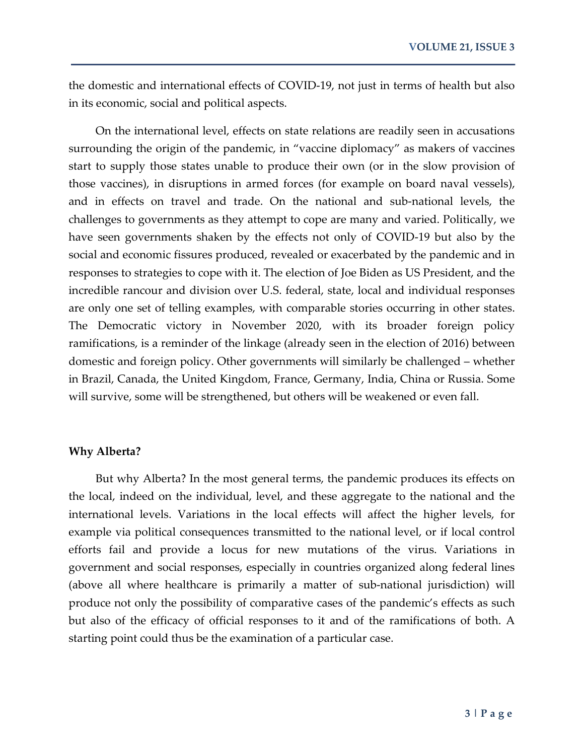the domestic and international effects of COVID-19, not just in terms of health but also in its economic, social and political aspects.

On the international level, effects on state relations are readily seen in accusations surrounding the origin of the pandemic, in "vaccine diplomacy" as makers of vaccines start to supply those states unable to produce their own (or in the slow provision of those vaccines), in disruptions in armed forces (for example on board naval vessels), and in effects on travel and trade. On the national and sub-national levels, the challenges to governments as they attempt to cope are many and varied. Politically, we have seen governments shaken by the effects not only of COVID-19 but also by the social and economic fissures produced, revealed or exacerbated by the pandemic and in responses to strategies to cope with it. The election of Joe Biden as US President, and the incredible rancour and division over U.S. federal, state, local and individual responses are only one set of telling examples, with comparable stories occurring in other states. The Democratic victory in November 2020, with its broader foreign policy ramifications, is a reminder of the linkage (already seen in the election of 2016) between domestic and foreign policy. Other governments will similarly be challenged – whether in Brazil, Canada, the United Kingdom, France, Germany, India, China or Russia. Some will survive, some will be strengthened, but others will be weakened or even fall.

#### **Why Alberta?**

But why Alberta? In the most general terms, the pandemic produces its effects on the local, indeed on the individual, level, and these aggregate to the national and the international levels. Variations in the local effects will affect the higher levels, for example via political consequences transmitted to the national level, or if local control efforts fail and provide a locus for new mutations of the virus. Variations in government and social responses, especially in countries organized along federal lines (above all where healthcare is primarily a matter of sub-national jurisdiction) will produce not only the possibility of comparative cases of the pandemic's effects as such but also of the efficacy of official responses to it and of the ramifications of both. A starting point could thus be the examination of a particular case.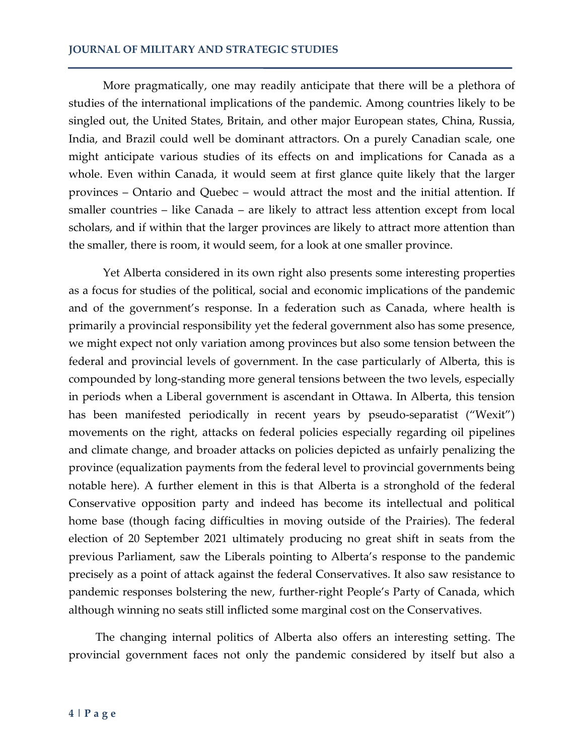More pragmatically, one may readily anticipate that there will be a plethora of studies of the international implications of the pandemic. Among countries likely to be singled out, the United States, Britain, and other major European states, China, Russia, India, and Brazil could well be dominant attractors. On a purely Canadian scale, one might anticipate various studies of its effects on and implications for Canada as a whole. Even within Canada, it would seem at first glance quite likely that the larger provinces – Ontario and Quebec – would attract the most and the initial attention. If smaller countries – like Canada – are likely to attract less attention except from local scholars, and if within that the larger provinces are likely to attract more attention than the smaller, there is room, it would seem, for a look at one smaller province.

Yet Alberta considered in its own right also presents some interesting properties as a focus for studies of the political, social and economic implications of the pandemic and of the government's response. In a federation such as Canada, where health is primarily a provincial responsibility yet the federal government also has some presence, we might expect not only variation among provinces but also some tension between the federal and provincial levels of government. In the case particularly of Alberta, this is compounded by long-standing more general tensions between the two levels, especially in periods when a Liberal government is ascendant in Ottawa. In Alberta, this tension has been manifested periodically in recent years by pseudo-separatist ("Wexit") movements on the right, attacks on federal policies especially regarding oil pipelines and climate change, and broader attacks on policies depicted as unfairly penalizing the province (equalization payments from the federal level to provincial governments being notable here). A further element in this is that Alberta is a stronghold of the federal Conservative opposition party and indeed has become its intellectual and political home base (though facing difficulties in moving outside of the Prairies). The federal election of 20 September 2021 ultimately producing no great shift in seats from the previous Parliament, saw the Liberals pointing to Alberta's response to the pandemic precisely as a point of attack against the federal Conservatives. It also saw resistance to pandemic responses bolstering the new, further-right People's Party of Canada, which although winning no seats still inflicted some marginal cost on the Conservatives.

The changing internal politics of Alberta also offers an interesting setting. The provincial government faces not only the pandemic considered by itself but also a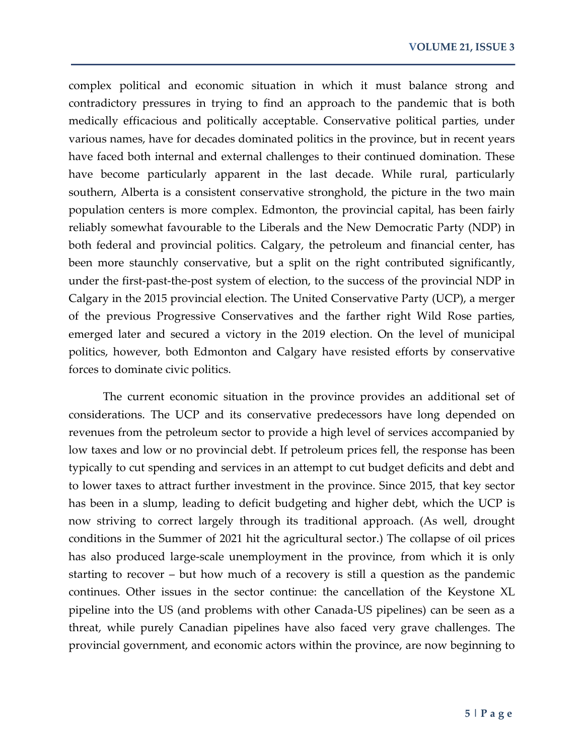complex political and economic situation in which it must balance strong and contradictory pressures in trying to find an approach to the pandemic that is both medically efficacious and politically acceptable. Conservative political parties, under various names, have for decades dominated politics in the province, but in recent years have faced both internal and external challenges to their continued domination. These have become particularly apparent in the last decade. While rural, particularly southern, Alberta is a consistent conservative stronghold, the picture in the two main population centers is more complex. Edmonton, the provincial capital, has been fairly reliably somewhat favourable to the Liberals and the New Democratic Party (NDP) in both federal and provincial politics. Calgary, the petroleum and financial center, has been more staunchly conservative, but a split on the right contributed significantly, under the first-past-the-post system of election, to the success of the provincial NDP in Calgary in the 2015 provincial election. The United Conservative Party (UCP), a merger of the previous Progressive Conservatives and the farther right Wild Rose parties, emerged later and secured a victory in the 2019 election. On the level of municipal politics, however, both Edmonton and Calgary have resisted efforts by conservative forces to dominate civic politics.

The current economic situation in the province provides an additional set of considerations. The UCP and its conservative predecessors have long depended on revenues from the petroleum sector to provide a high level of services accompanied by low taxes and low or no provincial debt. If petroleum prices fell, the response has been typically to cut spending and services in an attempt to cut budget deficits and debt and to lower taxes to attract further investment in the province. Since 2015, that key sector has been in a slump, leading to deficit budgeting and higher debt, which the UCP is now striving to correct largely through its traditional approach. (As well, drought conditions in the Summer of 2021 hit the agricultural sector.) The collapse of oil prices has also produced large-scale unemployment in the province, from which it is only starting to recover – but how much of a recovery is still a question as the pandemic continues. Other issues in the sector continue: the cancellation of the Keystone XL pipeline into the US (and problems with other Canada-US pipelines) can be seen as a threat, while purely Canadian pipelines have also faced very grave challenges. The provincial government, and economic actors within the province, are now beginning to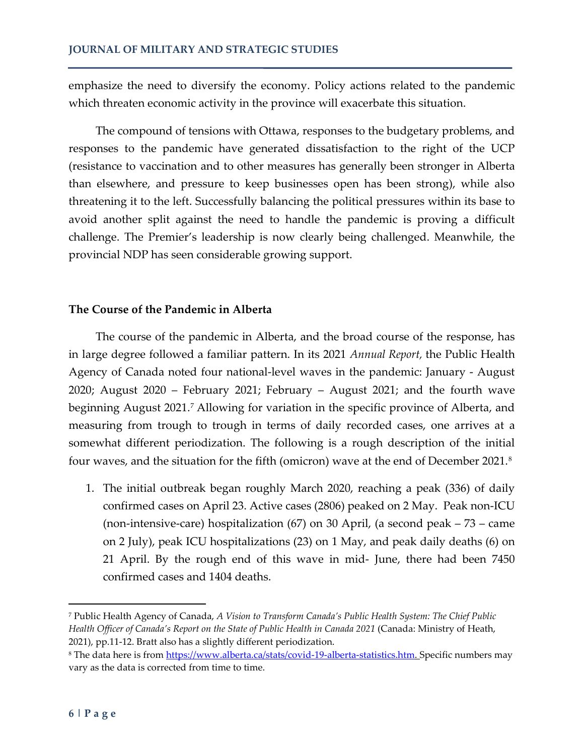emphasize the need to diversify the economy. Policy actions related to the pandemic which threaten economic activity in the province will exacerbate this situation.

The compound of tensions with Ottawa, responses to the budgetary problems, and responses to the pandemic have generated dissatisfaction to the right of the UCP (resistance to vaccination and to other measures has generally been stronger in Alberta than elsewhere, and pressure to keep businesses open has been strong), while also threatening it to the left. Successfully balancing the political pressures within its base to avoid another split against the need to handle the pandemic is proving a difficult challenge. The Premier's leadership is now clearly being challenged. Meanwhile, the provincial NDP has seen considerable growing support.

# **The Course of the Pandemic in Alberta**

The course of the pandemic in Alberta, and the broad course of the response, has in large degree followed a familiar pattern. In its 2021 *Annual Report,* the Public Health Agency of Canada noted four national-level waves in the pandemic: January - August 2020; August 2020 – February 2021; February – August 2021; and the fourth wave beginning August 2021.<sup>[7](#page-5-0)</sup> Allowing for variation in the specific province of Alberta, and measuring from trough to trough in terms of daily recorded cases, one arrives at a somewhat different periodization. The following is a rough description of the initial four waves, and the situation for the fifth (omicron) wave at the end of December 2021.[8](#page-5-1)

1. The initial outbreak began roughly March 2020, reaching a peak (336) of daily confirmed cases on April 23. Active cases (2806) peaked on 2 May. Peak non-ICU (non-intensive-care) hospitalization (67) on 30 April, (a second peak – 73 – came on 2 July), peak ICU hospitalizations (23) on 1 May, and peak daily deaths (6) on 21 April. By the rough end of this wave in mid- June, there had been 7450 confirmed cases and 1404 deaths.

 $\overline{a}$ 

<span id="page-5-0"></span><sup>7</sup> Public Health Agency of Canada, *A Vision to Transform Canada's Public Health System: The Chief Public Health Officer of Canada's Report on the State of Public Health in Canada 2021* (Canada: Ministry of Heath, 2021), pp.11-12. Bratt also has a slightly different periodization.

<span id="page-5-1"></span><sup>&</sup>lt;sup>8</sup> The data here is from [https://www.alberta.ca/stats/covid-19-alberta-statistics.htm.](https://www.alberta.ca/stats/covid-19-alberta-statistics.htm) Specific numbers may vary as the data is corrected from time to time.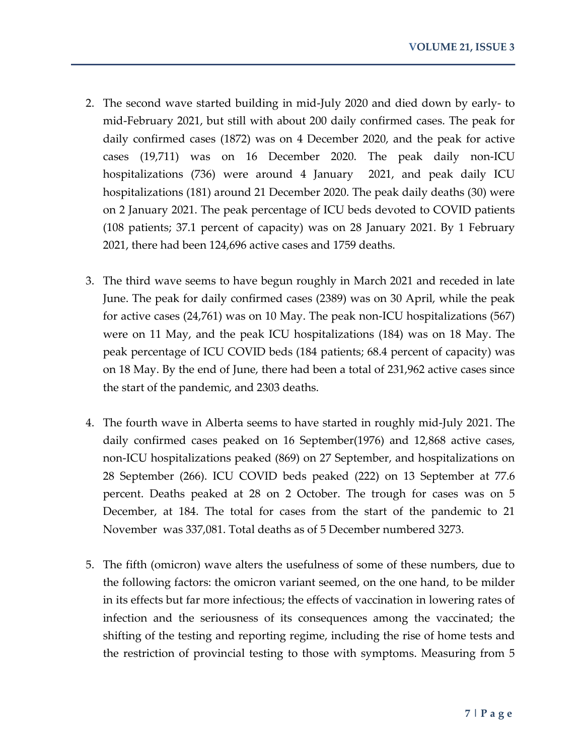- 2. The second wave started building in mid-July 2020 and died down by early- to mid-February 2021, but still with about 200 daily confirmed cases. The peak for daily confirmed cases (1872) was on 4 December 2020, and the peak for active cases (19,711) was on 16 December 2020. The peak daily non-ICU hospitalizations (736) were around 4 January 2021, and peak daily ICU hospitalizations (181) around 21 December 2020. The peak daily deaths (30) were on 2 January 2021. The peak percentage of ICU beds devoted to COVID patients (108 patients; 37.1 percent of capacity) was on 28 January 2021. By 1 February 2021, there had been 124,696 active cases and 1759 deaths.
- 3. The third wave seems to have begun roughly in March 2021 and receded in late June. The peak for daily confirmed cases (2389) was on 30 April, while the peak for active cases (24,761) was on 10 May. The peak non-ICU hospitalizations (567) were on 11 May, and the peak ICU hospitalizations (184) was on 18 May. The peak percentage of ICU COVID beds (184 patients; 68.4 percent of capacity) was on 18 May. By the end of June, there had been a total of 231,962 active cases since the start of the pandemic, and 2303 deaths.
- 4. The fourth wave in Alberta seems to have started in roughly mid-July 2021. The daily confirmed cases peaked on 16 September(1976) and 12,868 active cases, non-ICU hospitalizations peaked (869) on 27 September, and hospitalizations on 28 September (266). ICU COVID beds peaked (222) on 13 September at 77.6 percent. Deaths peaked at 28 on 2 October. The trough for cases was on 5 December, at 184. The total for cases from the start of the pandemic to 21 November was 337,081. Total deaths as of 5 December numbered 3273.
- 5. The fifth (omicron) wave alters the usefulness of some of these numbers, due to the following factors: the omicron variant seemed, on the one hand, to be milder in its effects but far more infectious; the effects of vaccination in lowering rates of infection and the seriousness of its consequences among the vaccinated; the shifting of the testing and reporting regime, including the rise of home tests and the restriction of provincial testing to those with symptoms. Measuring from 5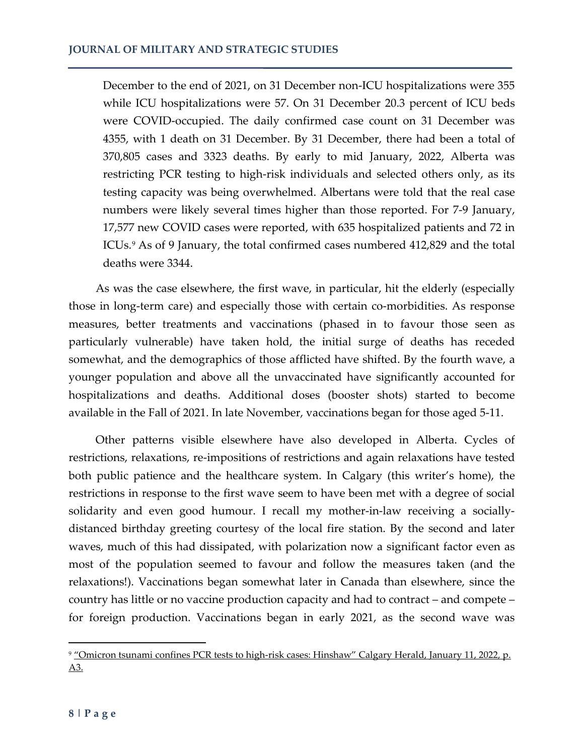December to the end of 2021, on 31 December non-ICU hospitalizations were 355 while ICU hospitalizations were 57. On 31 December 20.3 percent of ICU beds were COVID-occupied. The daily confirmed case count on 31 December was 4355, with 1 death on 31 December. By 31 December, there had been a total of 370,805 cases and 3323 deaths. By early to mid January, 2022, Alberta was restricting PCR testing to high-risk individuals and selected others only, as its testing capacity was being overwhelmed. Albertans were told that the real case numbers were likely several times higher than those reported. For 7-9 January, 17,577 new COVID cases were reported, with 635 hospitalized patients and 72 in ICUs.<sup>[9](#page-7-0)</sup> As of 9 January, the total confirmed cases numbered 412,829 and the total deaths were 3344.

As was the case elsewhere, the first wave, in particular, hit the elderly (especially those in long-term care) and especially those with certain co-morbidities. As response measures, better treatments and vaccinations (phased in to favour those seen as particularly vulnerable) have taken hold, the initial surge of deaths has receded somewhat, and the demographics of those afflicted have shifted. By the fourth wave, a younger population and above all the unvaccinated have significantly accounted for hospitalizations and deaths. Additional doses (booster shots) started to become available in the Fall of 2021. In late November, vaccinations began for those aged 5-11.

Other patterns visible elsewhere have also developed in Alberta. Cycles of restrictions, relaxations, re-impositions of restrictions and again relaxations have tested both public patience and the healthcare system. In Calgary (this writer's home), the restrictions in response to the first wave seem to have been met with a degree of social solidarity and even good humour. I recall my mother-in-law receiving a sociallydistanced birthday greeting courtesy of the local fire station. By the second and later waves, much of this had dissipated, with polarization now a significant factor even as most of the population seemed to favour and follow the measures taken (and the relaxations!). Vaccinations began somewhat later in Canada than elsewhere, since the country has little or no vaccine production capacity and had to contract – and compete – for foreign production. Vaccinations began in early 2021, as the second wave was

l

<span id="page-7-0"></span><sup>&</sup>lt;sup>9</sup> "Omicron tsunami confines PCR tests to high-risk cases: Hinshaw" Calgary Herald, January 11, 2022, p. A3.